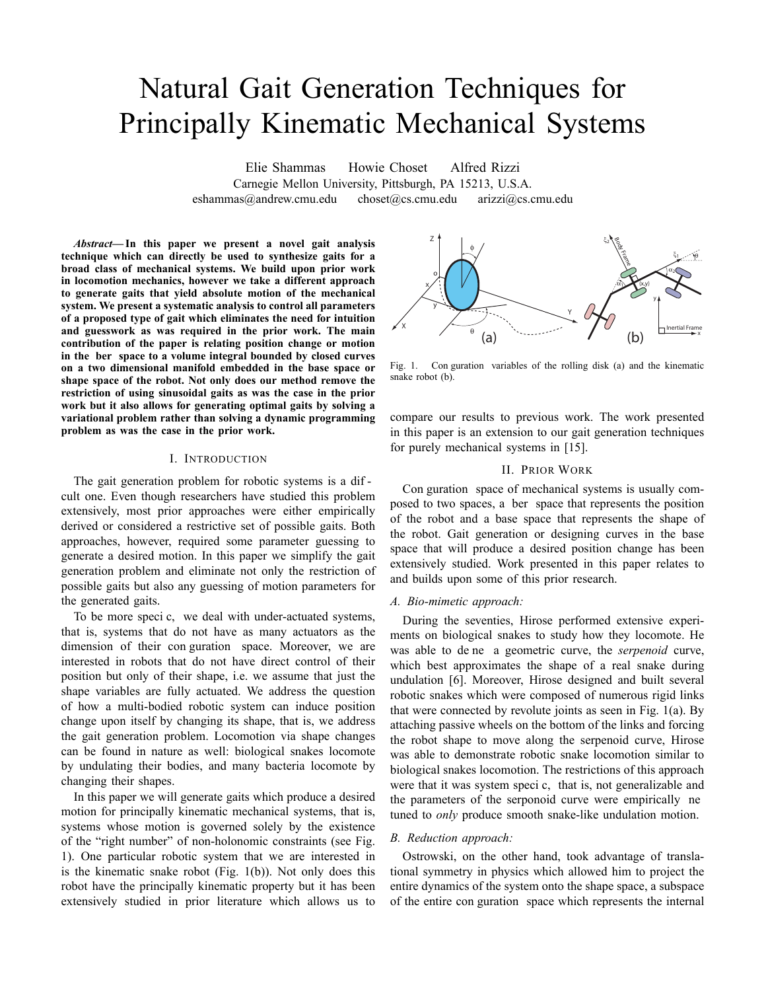# Natural Gait Generation Techniques for Principally Kinematic Mechanical Systems

Elie Shammas Howie Choset Alfred Rizzi Carnegie Mellon University, Pittsburgh, PA 15213, U.S.A. eshammas@andrew.cmu.edu choset@cs.cmu.edu arizzi@cs.cmu.edu

*Abstract***— In this paper we present a novel gait analysis technique which can directly be used to synthesize gaits for a broad class of mechanical systems. We build upon prior work in locomotion mechanics, however we take a different approach to generate gaits that yield absolute motion of the mechanical system. We present a systematic analysis to control all parameters of a proposed type of gait which eliminates the need for intuition and guesswork as was required in the prior work. The main contribution of the paper is relating position change or motion in the ber space to a volume integral bounded by closed curves on a two dimensional manifold embedded in the base space or shape space of the robot. Not only does our method remove the restriction of using sinusoidal gaits as was the case in the prior work but it also allows for generating optimal gaits by solving a variational problem rather than solving a dynamic programming problem as was the case in the prior work.**

#### I. INTRODUCTION

The gait generation problem for robotic systems is a dif cult one. Even though researchers have studied this problem extensively, most prior approaches were either empirically derived or considered a restrictive set of possible gaits. Both approaches, however, required some parameter guessing to generate a desired motion. In this paper we simplify the gait generation problem and eliminate not only the restriction of possible gaits but also any guessing of motion parameters for the generated gaits.

To be more speci c, we deal with under-actuated systems, that is, systems that do not have as many actuators as the dimension of their con guration space. Moreover, we are interested in robots that do not have direct control of their position but only of their shape, i.e. we assume that just the shape variables are fully actuated. We address the question of how a multi-bodied robotic system can induce position change upon itself by changing its shape, that is, we address the gait generation problem. Locomotion via shape changes can be found in nature as well: biological snakes locomote by undulating their bodies, and many bacteria locomote by changing their shapes.

In this paper we will generate gaits which produce a desired motion for principally kinematic mechanical systems, that is, systems whose motion is governed solely by the existence of the "right number" of non-holonomic constraints (see Fig. 1). One particular robotic system that we are interested in is the kinematic snake robot (Fig. 1(b)). Not only does this robot have the principally kinematic property but it has been extensively studied in prior literature which allows us to



Fig. 1. Con guration variables of the rolling disk (a) and the kinematic snake robot (b).

compare our results to previous work. The work presented in this paper is an extension to our gait generation techniques for purely mechanical systems in [15].

# II. PRIOR WORK

Con guration space of mechanical systems is usually composed to two spaces, a ber space that represents the position of the robot and a base space that represents the shape of the robot. Gait generation or designing curves in the base space that will produce a desired position change has been extensively studied. Work presented in this paper relates to and builds upon some of this prior research.

## *A. Bio-mimetic approach:*

During the seventies, Hirose performed extensive experiments on biological snakes to study how they locomote. He was able to de ne a geometric curve, the *serpenoid* curve, which best approximates the shape of a real snake during undulation [6]. Moreover, Hirose designed and built several robotic snakes which were composed of numerous rigid links that were connected by revolute joints as seen in Fig. 1(a). By attaching passive wheels on the bottom of the links and forcing the robot shape to move along the serpenoid curve, Hirose was able to demonstrate robotic snake locomotion similar to biological snakes locomotion. The restrictions of this approach were that it was system speci c, that is, not generalizable and the parameters of the serponoid curve were empirically ne tuned to *only* produce smooth snake-like undulation motion.

## *B. Reduction approach:*

Ostrowski, on the other hand, took advantage of translational symmetry in physics which allowed him to project the entire dynamics of the system onto the shape space, a subspace of the entire con guration space which represents the internal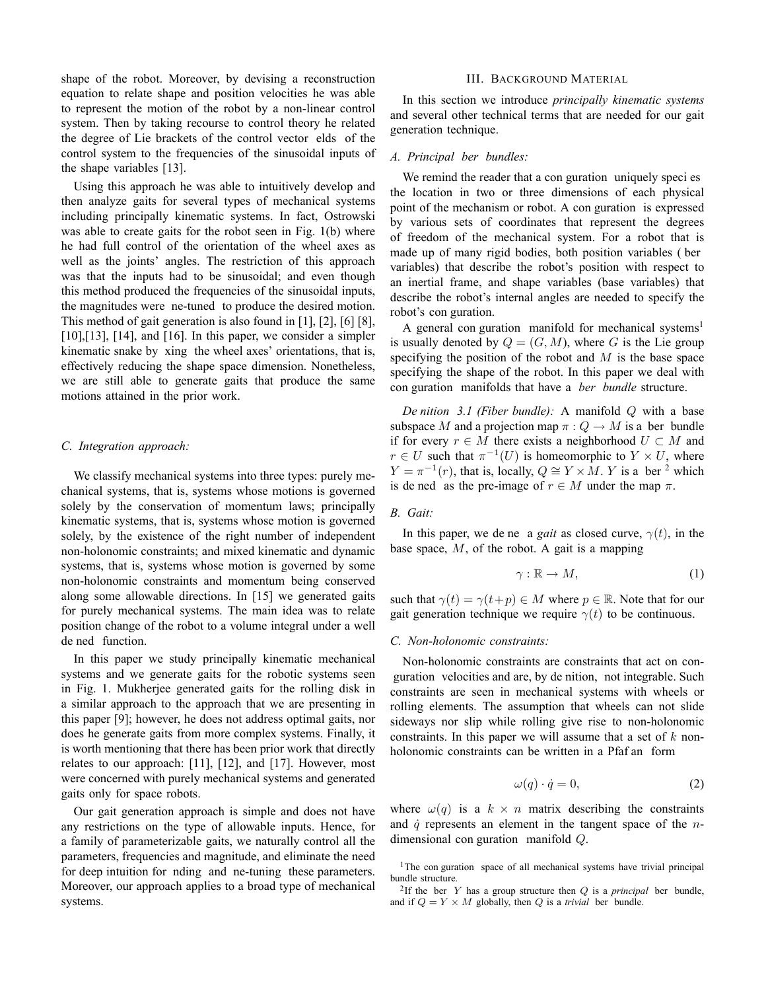shape of the robot. Moreover, by devising a reconstruction equation to relate shape and position velocities he was able to represent the motion of the robot by a non-linear control system. Then by taking recourse to control theory he related the degree of Lie brackets of the control vector elds of the control system to the frequencies of the sinusoidal inputs of the shape variables [13].

Using this approach he was able to intuitively develop and then analyze gaits for several types of mechanical systems including principally kinematic systems. In fact, Ostrowski was able to create gaits for the robot seen in Fig. 1(b) where he had full control of the orientation of the wheel axes as well as the joints' angles. The restriction of this approach was that the inputs had to be sinusoidal; and even though this method produced the frequencies of the sinusoidal inputs, the magnitudes were ne-tuned to produce the desired motion. This method of gait generation is also found in [1], [2], [6] [8],  $[10]$ , $[13]$ ,  $[14]$ , and  $[16]$ . In this paper, we consider a simpler kinematic snake by xing the wheel axes' orientations, that is, effectively reducing the shape space dimension. Nonetheless, we are still able to generate gaits that produce the same motions attained in the prior work.

## *C. Integration approach:*

We classify mechanical systems into three types: purely mechanical systems, that is, systems whose motions is governed solely by the conservation of momentum laws; principally kinematic systems, that is, systems whose motion is governed solely, by the existence of the right number of independent non-holonomic constraints; and mixed kinematic and dynamic systems, that is, systems whose motion is governed by some non-holonomic constraints and momentum being conserved along some allowable directions. In [15] we generated gaits for purely mechanical systems. The main idea was to relate position change of the robot to a volume integral under a well de ned function.

In this paper we study principally kinematic mechanical systems and we generate gaits for the robotic systems seen in Fig. 1. Mukherjee generated gaits for the rolling disk in a similar approach to the approach that we are presenting in this paper [9]; however, he does not address optimal gaits, nor does he generate gaits from more complex systems. Finally, it is worth mentioning that there has been prior work that directly relates to our approach: [11], [12], and [17]. However, most were concerned with purely mechanical systems and generated gaits only for space robots.

Our gait generation approach is simple and does not have any restrictions on the type of allowable inputs. Hence, for a family of parameterizable gaits, we naturally control all the parameters, frequencies and magnitude, and eliminate the need for deep intuition for nding and ne-tuning these parameters. Moreover, our approach applies to a broad type of mechanical systems.

#### III. BACKGROUND MATERIAL

In this section we introduce *principally kinematic systems* and several other technical terms that are needed for our gait generation technique.

#### *A. Principal ber bundles:*

We remind the reader that a con guration uniquely speci es the location in two or three dimensions of each physical point of the mechanism or robot. A con guration is expressed by various sets of coordinates that represent the degrees of freedom of the mechanical system. For a robot that is made up of many rigid bodies, both position variables ( ber variables) that describe the robot's position with respect to an inertial frame, and shape variables (base variables) that describe the robot's internal angles are needed to specify the robot's con guration.

A general con guration manifold for mechanical systems<sup>1</sup> is usually denoted by  $Q = (G, M)$ , where G is the Lie group specifying the position of the robot and  $M$  is the base space specifying the shape of the robot. In this paper we deal with con guration manifolds that have a *ber bundle* structure.

*De nition 3.1 (Fiber bundle):* A manifold Q with a base subspace M and a projection map  $\pi: Q \to M$  is a ber bundle if for every  $r \in M$  there exists a neighborhood  $U \subset M$  and  $r \in U$  such that  $\pi^{-1}(U)$  is homeomorphic to  $Y \times U$ , where  $Y = \pi^{-1}(r)$ , that is, locally,  $Q \cong Y \times M$ . Y is a ber <sup>2</sup> which is de ned as the pre-image of  $r \in M$  under the map  $\pi$ .

# *B. Gait:*

In this paper, we de ne a *gait* as closed curve,  $\gamma(t)$ , in the base space,  $M$ , of the robot. A gait is a mapping

$$
\gamma : \mathbb{R} \to M,\tag{1}
$$

such that  $\gamma(t) = \gamma(t+p) \in M$  where  $p \in \mathbb{R}$ . Note that for our gait generation technique we require  $\gamma(t)$  to be continuous.

## *C. Non-holonomic constraints:*

Non-holonomic constraints are constraints that act on con guration velocities and are, by de nition, not integrable. Such constraints are seen in mechanical systems with wheels or rolling elements. The assumption that wheels can not slide sideways nor slip while rolling give rise to non-holonomic constraints. In this paper we will assume that a set of  $k$  nonholonomic constraints can be written in a Pfaf an form

$$
\omega(q) \cdot \dot{q} = 0,\tag{2}
$$

where  $\omega(q)$  is a  $k \times n$  matrix describing the constraints and  $\dot{q}$  represents an element in the tangent space of the *n*dimensional con guration manifold Q.

<sup>&</sup>lt;sup>1</sup>The con guration space of all mechanical systems have trivial principal bundle structure.

<sup>&</sup>lt;sup>2</sup>If the ber  $Y$  has a group structure then  $Q$  is a *principal* ber bundle, and if  $Q = Y \times M$  globally, then Q is a *trivial* ber bundle.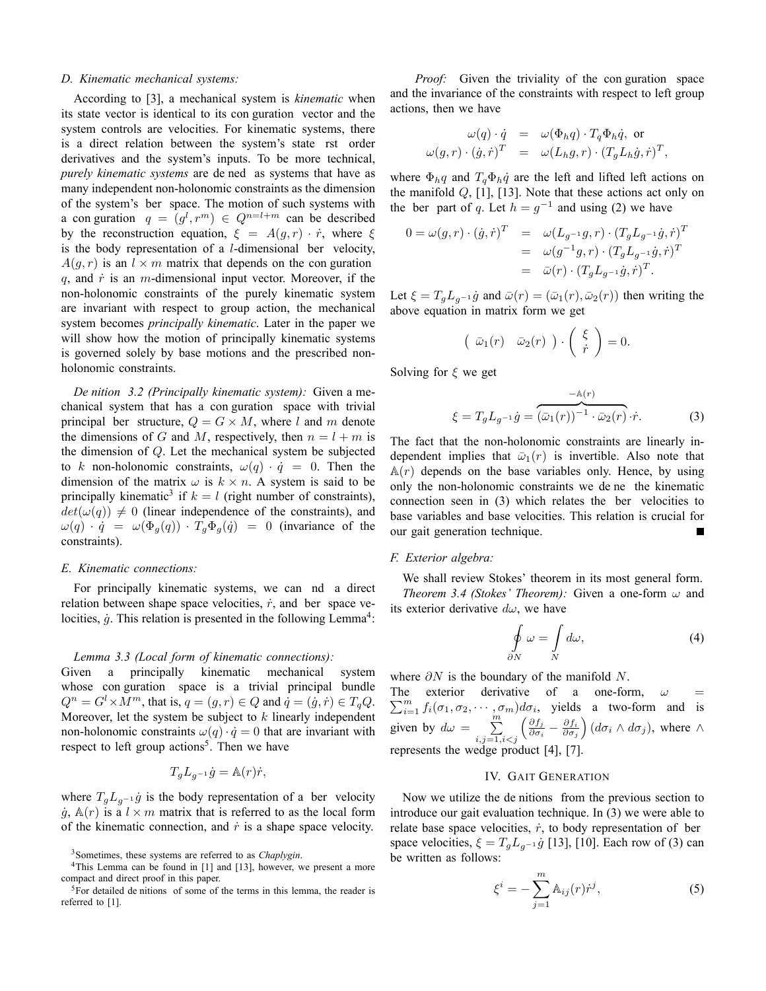#### *D. Kinematic mechanical systems:*

According to [3], a mechanical system is *kinematic* when its state vector is identical to its con guration vector and the system controls are velocities. For kinematic systems, there is a direct relation between the system's state rst order derivatives and the system's inputs. To be more technical, *purely kinematic systems* are de ned as systems that have as many independent non-holonomic constraints as the dimension of the system's ber space. The motion of such systems with a con guration  $q = (g^l, r^m) \in Q^{n=l+m}$  can be described by the reconstruction equation,  $\xi = A(g, r) \cdot \dot{r}$ , where  $\xi$ is the body representation of a  $l$ -dimensional ber velocity,  $A(q, r)$  is an  $l \times m$  matrix that depends on the con guration  $q$ , and  $\dot{r}$  is an m-dimensional input vector. Moreover, if the non-holonomic constraints of the purely kinematic system are invariant with respect to group action, the mechanical system becomes *principally kinematic*. Later in the paper we will show how the motion of principally kinematic systems is governed solely by base motions and the prescribed nonholonomic constraints.

*De nition 3.2 (Principally kinematic system):* Given a mechanical system that has a con guration space with trivial principal ber structure,  $Q = G \times M$ , where l and m denote the dimensions of G and M, respectively, then  $n = l + m$  is the dimension of Q. Let the mechanical system be subjected to k non-holonomic constraints,  $\omega(q) \cdot \dot{q} = 0$ . Then the dimension of the matrix  $\omega$  is  $k \times n$ . A system is said to be principally kinematic<sup>3</sup> if  $k = l$  (right number of constraints),  $det(\omega(q)) \neq 0$  (linear independence of the constraints), and  $\omega(q) \cdot \dot{q} = \omega(\Phi_q(q)) \cdot T_q \Phi_q(\dot{q}) = 0$  (invariance of the constraints).

#### *E. Kinematic connections:*

For principally kinematic systems, we can nd a direct relation between shape space velocities,  $\dot{r}$ , and ber space velocities,  $\dot{g}$ . This relation is presented in the following Lemma<sup>4</sup>:

#### *Lemma 3.3 (Local form of kinematic connections):*

Given a principally kinematic mechanical system whose con guration space is a trivial principal bundle  $Q^n = G^l \times M^m$ , that is,  $q = (g, r) \in Q$  and  $\dot{q} = (\dot{g}, \dot{r}) \in T_q Q$ .<br>Moreover, let the system be subject to k linearly independent Moreover, let the system be subject to  $k$  linearly independent non-holonomic constraints  $\omega(q) \cdot \dot{q} = 0$  that are invariant with respect to left group actions<sup>5</sup>. Then we have

$$
T_g L_{g^{-1}} \dot{g} = \mathbb{A}(r) \dot{r},
$$

where  $T_gL_{g^{-1}}\dot{g}$  is the body representation of a ber velocity  $\dot{g}$ ,  $\mathbb{A}(r)$  is a  $l \times m$  matrix that is referred to as the local form of the kinematic connection, and  $\dot{r}$  is a shape space velocity.

*Proof:* Given the triviality of the con guration space and the invariance of the constraints with respect to left group actions, then we have

$$
\omega(q) \cdot \dot{q} = \omega(\Phi_h q) \cdot T_q \Phi_h \dot{q}, \text{ or}
$$
  

$$
\omega(g, r) \cdot (\dot{g}, \dot{r})^T = \omega(L_h g, r) \cdot (T_g L_h \dot{g}, \dot{r})^T,
$$

where  $\Phi_h q$  and  $T_a \Phi_h \dot{q}$  are the left and lifted left actions on the manifold  $Q$ , [1], [13]. Note that these actions act only on the ber part of q. Let  $h = g^{-1}$  and using (2) we have

$$
0 = \omega(g, r) \cdot (\dot{g}, \dot{r})^T = \omega(L_{g^{-1}}g, r) \cdot (T_g L_{g^{-1}}\dot{g}, \dot{r})^T
$$
  
=  $\omega(g^{-1}g, r) \cdot (T_g L_{g^{-1}}\dot{g}, \dot{r})^T$   
=  $\bar{\omega}(r) \cdot (T_g L_{g^{-1}}\dot{g}, \dot{r})^T$ .

Let  $\xi = T_q L_{q^{-1}} \dot{g}$  and  $\bar{\omega}(r) = (\bar{\omega}_1(r), \bar{\omega}_2(r))$  then writing the above equation in matrix form we get

$$
\left(\begin{array}{cc}\bar{\omega}_1(r)&\bar{\omega}_2(r)\end{array}\right)\cdot\left(\begin{array}{c}\xi\\ \dot{r}\end{array}\right)=0.
$$

Solving for  $\xi$  we get

$$
\xi = T_g L_{g^{-1}} \dot{g} = \overbrace{(\bar{\omega}_1(r))}^{-\mathbb{A}(r)} \cdot \bar{\omega}_2(r) \cdot \dot{r}.
$$
 (3)

The fact that the non-holonomic constraints are linearly independent implies that  $\bar{\omega}_1(r)$  is invertible. Also note that  $A(r)$  depends on the base variables only. Hence, by using only the non-holonomic constraints we de ne the kinematic connection seen in (3) which relates the ber velocities to base variables and base velocities. This relation is crucial for our gait generation technique.

## *F. Exterior algebra:*

We shall review Stokes' theorem in its most general form. *Theorem 3.4 (Stokes' Theorem):* Given a one-form  $\omega$  and its exterior derivative  $d\omega$ , we have

$$
\oint_{\partial N} \omega = \int_{N} d\omega, \tag{4}
$$

where  $\partial N$  is the boundary of the manifold N.

 $\sum_{i=1}^{m} f_i(\sigma_1, \sigma_2, \cdots, \sigma_m) d\sigma_i$ , yields a two-form and is The exterior derivative of a one-form,  $\omega$ given by  $d\omega = \sum_{ }^{ }$  $\substack{i,j=1,i$  $\left(\frac{\partial f_j}{\partial \sigma_i} - \frac{\partial f_i}{\partial \sigma_j}\right)$  $\int (d\sigma_i \wedge d\sigma_j)$ , where  $\wedge$ represents the wedge product [4], [7].

## IV. GAIT GENERATION

Now we utilize the de nitions from the previous section to introduce our gait evaluation technique. In (3) we were able to relate base space velocities,  $\dot{r}$ , to body representation of ber space velocities,  $\xi = T_g L_{g^{-1}} \dot{g}$  [13], [10]. Each row of (3) can be written as follows:

$$
\xi^i = -\sum_{j=1}^m \mathbb{A}_{ij}(r)\dot{r}^j,\tag{5}
$$

<sup>3</sup>Sometimes, these systems are referred to as *Chaplygin*.

<sup>&</sup>lt;sup>4</sup>This Lemma can be found in [1] and [13], however, we present a more compact and direct proof in this paper.

 ${}^{5}$ For detailed de nitions of some of the terms in this lemma, the reader is referred to [1].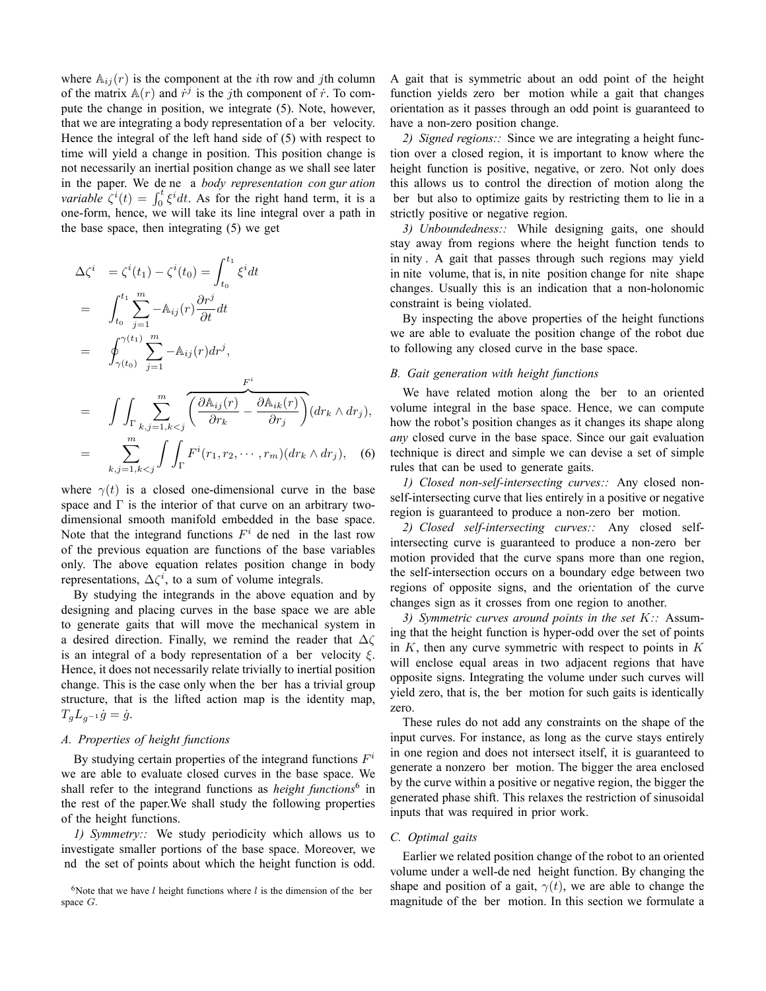where  $\mathbb{A}_{ij}(r)$  is the component at the *i*th row and *j*th column of the matrix  $\mathbb{A}(r)$  and  $\dot{r}^j$  is the *j*th component of  $\dot{r}$ . To compute the change in position, we integrate (5). Note, however, that we are integrating a body representation of a ber velocity. Hence the integral of the left hand side of (5) with respect to time will yield a change in position. This position change is not necessarily an inertial position change as we shall see later in the paper. We de ne a *body representation con gur ation variable*  $\zeta^{i}(t) = \int_{0}^{t} \xi^{i} dt$ . As for the right hand term, it is a one-form, hence, we will take its line integral over a path in the base space, then integrating (5) we get

$$
\Delta \zeta^{i} = \zeta^{i}(t_{1}) - \zeta^{i}(t_{0}) = \int_{t_{0}}^{t_{1}} \xi^{i} dt
$$
\n
$$
= \int_{t_{0}}^{t_{1}} \sum_{j=1}^{m} -\mathbb{A}_{ij}(r) \frac{\partial r^{j}}{\partial t} dt
$$
\n
$$
= \int_{\gamma(t_{0})}^{\gamma(t_{1})} \sum_{j=1}^{m} -\mathbb{A}_{ij}(r) dr^{j},
$$
\n
$$
= \int \int_{\Gamma} \sum_{k,j=1, k < j}^{m} \overline{\left(\frac{\partial \mathbb{A}_{ij}(r)}{\partial r_{k}} - \frac{\partial \mathbb{A}_{ik}(r)}{\partial r_{j}}\right)} (dr_{k} \wedge dr_{j}),
$$
\n
$$
= \sum_{k,j=1, k < j}^{m} \int \int_{\Gamma} F^{i}(r_{1}, r_{2}, \cdots, r_{m})(dr_{k} \wedge dr_{j}), \quad (6)
$$

where  $\gamma(t)$  is a closed one-dimensional curve in the base space and  $\Gamma$  is the interior of that curve on an arbitrary twodimensional smooth manifold embedded in the base space. Note that the integrand functions  $F<sup>i</sup>$  de ned in the last row of the previous equation are functions of the base variables only. The above equation relates position change in body representations,  $\Delta \zeta^i$ , to a sum of volume integrals.

By studying the integrands in the above equation and by designing and placing curves in the base space we are able to generate gaits that will move the mechanical system in a desired direction. Finally, we remind the reader that  $\Delta\zeta$ is an integral of a body representation of a ber velocity  $\xi$ . Hence, it does not necessarily relate trivially to inertial position change. This is the case only when the ber has a trivial group structure, that is the lifted action map is the identity map,  $T_gL_{g^{-1}}\dot{g}=\dot{g}.$ 

#### *A. Properties of height functions*

By studying certain properties of the integrand functions  $F^i$ we are able to evaluate closed curves in the base space. We shall refer to the integrand functions as *height functions*<sup>6</sup> in the rest of the paper.We shall study the following properties of the height functions.

*1) Symmetry::* We study periodicity which allows us to investigate smaller portions of the base space. Moreover, we nd the set of points about which the height function is odd.

<sup>6</sup>Note that we have  $l$  height functions where  $l$  is the dimension of the ber space G.

A gait that is symmetric about an odd point of the height function yields zero ber motion while a gait that changes orientation as it passes through an odd point is guaranteed to have a non-zero position change.

*2) Signed regions::* Since we are integrating a height function over a closed region, it is important to know where the height function is positive, negative, or zero. Not only does this allows us to control the direction of motion along the ber but also to optimize gaits by restricting them to lie in a strictly positive or negative region.

*3) Unboundedness::* While designing gaits, one should stay away from regions where the height function tends to in nity . A gait that passes through such regions may yield in nite volume, that is, in nite position change for nite shape changes. Usually this is an indication that a non-holonomic constraint is being violated.

By inspecting the above properties of the height functions we are able to evaluate the position change of the robot due to following any closed curve in the base space.

## *B. Gait generation with height functions*

We have related motion along the ber to an oriented volume integral in the base space. Hence, we can compute how the robot's position changes as it changes its shape along *any* closed curve in the base space. Since our gait evaluation technique is direct and simple we can devise a set of simple rules that can be used to generate gaits.

*1) Closed non-self-intersecting curves::* Any closed nonself-intersecting curve that lies entirely in a positive or negative region is guaranteed to produce a non-zero ber motion.

*2) Closed self-intersecting curves::* Any closed selfintersecting curve is guaranteed to produce a non-zero ber motion provided that the curve spans more than one region, the self-intersection occurs on a boundary edge between two regions of opposite signs, and the orientation of the curve changes sign as it crosses from one region to another.

*3) Symmetric curves around points in the set* K*::* Assuming that the height function is hyper-odd over the set of points in  $K$ , then any curve symmetric with respect to points in  $K$ will enclose equal areas in two adjacent regions that have opposite signs. Integrating the volume under such curves will yield zero, that is, the ber motion for such gaits is identically zero.

These rules do not add any constraints on the shape of the input curves. For instance, as long as the curve stays entirely in one region and does not intersect itself, it is guaranteed to generate a nonzero ber motion. The bigger the area enclosed by the curve within a positive or negative region, the bigger the generated phase shift. This relaxes the restriction of sinusoidal inputs that was required in prior work.

#### *C. Optimal gaits*

Earlier we related position change of the robot to an oriented volume under a well-de ned height function. By changing the shape and position of a gait,  $\gamma(t)$ , we are able to change the magnitude of the ber motion. In this section we formulate a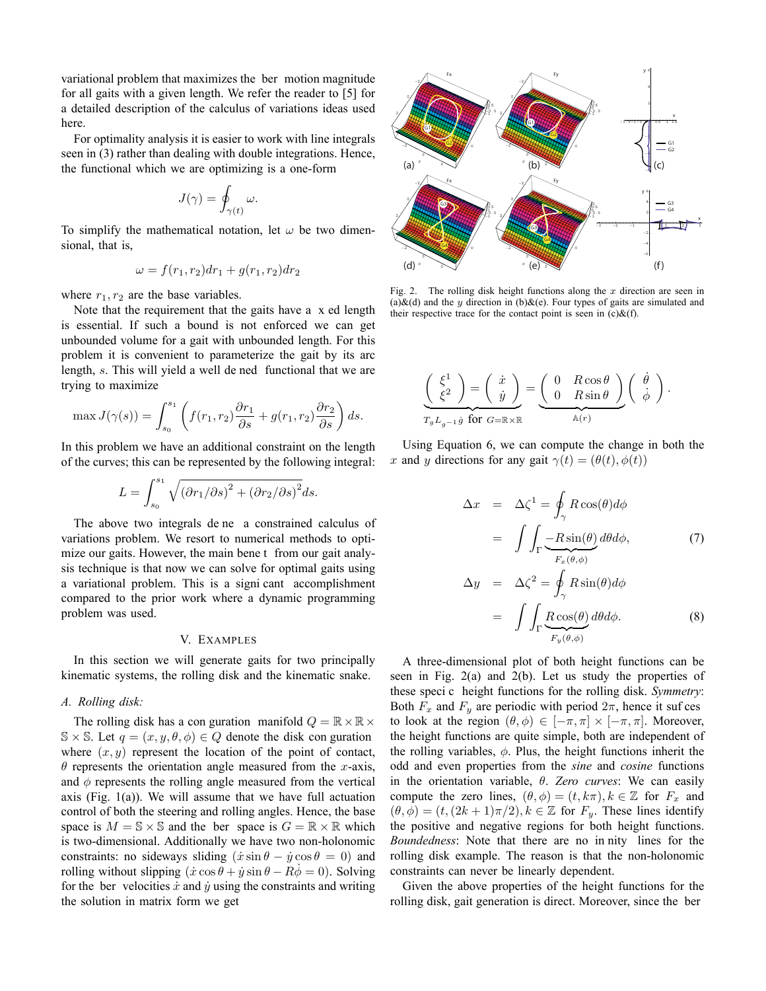variational problem that maximizes the ber motion magnitude for all gaits with a given length. We refer the reader to [5] for a detailed description of the calculus of variations ideas used here.

For optimality analysis it is easier to work with line integrals seen in (3) rather than dealing with double integrations. Hence, the functional which we are optimizing is a one-form

$$
J(\gamma) = \oint_{\gamma(t)} \omega.
$$

To simplify the mathematical notation, let  $\omega$  be two dimensional, that is,

$$
\omega = f(r_1, r_2)dr_1 + g(r_1, r_2)dr_2
$$

where  $r_1, r_2$  are the base variables.

Note that the requirement that the gaits have a x ed length is essential. If such a bound is not enforced we can get unbounded volume for a gait with unbounded length. For this problem it is convenient to parameterize the gait by its arc length, s. This will yield a well de ned functional that we are trying to maximize

$$
\max J(\gamma(s)) = \int_{s_0}^{s_1} \left( f(r_1, r_2) \frac{\partial r_1}{\partial s} + g(r_1, r_2) \frac{\partial r_2}{\partial s} \right) ds.
$$

In this problem we have an additional constraint on the length of the curves; this can be represented by the following integral:

$$
L = \int_{s_0}^{s_1} \sqrt{\left(\partial r_1/\partial s\right)^2 + \left(\partial r_2/\partial s\right)^2} ds.
$$

The above two integrals de ne a constrained calculus of variations problem. We resort to numerical methods to optimize our gaits. However, the main bene t from our gait analysis technique is that now we can solve for optimal gaits using a variational problem. This is a signi cant accomplishment compared to the prior work where a dynamic programming problem was used.

## V. EXAMPLES

In this section we will generate gaits for two principally kinematic systems, the rolling disk and the kinematic snake.

# *A. Rolling disk:*

The rolling disk has a con guration manifold  $Q = \mathbb{R} \times \mathbb{R} \times$  $\mathbb{S} \times \mathbb{S}$ . Let  $q = (x, y, \theta, \phi) \in Q$  denote the disk con guration where  $(x, y)$  represent the location of the point of contact,  $\theta$  represents the orientation angle measured from the x-axis, and  $\phi$  represents the rolling angle measured from the vertical axis (Fig.  $1(a)$ ). We will assume that we have full actuation control of both the steering and rolling angles. Hence, the base space is  $M = \mathbb{S} \times \mathbb{S}$  and the ber space is  $G = \mathbb{R} \times \mathbb{R}$  which is two-dimensional. Additionally we have two non-holonomic constraints: no sideways sliding  $(\dot{x} \sin \theta - \dot{y} \cos \theta = 0)$  and rolling without slipping  $(\dot{x} \cos \theta + \dot{y} \sin \theta - R\phi = 0)$ . Solving for the ber velocities  $\dot{x}$  and  $\dot{y}$  using the constraints and writing the solution in matrix form we get



Fig. 2. The rolling disk height functions along the  $x$  direction are seen in (a) $\&$ (d) and the y direction in (b) $\&$ (e). Four types of gaits are simulated and their respective trace for the contact point is seen in  $(c)$ &(f).

$$
\left(\begin{array}{c} \xi^1 \\ \xi^2 \end{array}\right) = \left(\begin{array}{c} \dot{x} \\ \dot{y} \end{array}\right) = \underbrace{\left(\begin{array}{cc} 0 & R\cos\theta \\ 0 & R\sin\theta \end{array}\right)}_{\mathbb{A}(r)} \left(\begin{array}{c} \dot{\theta} \\ \dot{\phi} \end{array}\right).
$$

Using Equation 6, we can compute the change in both the x and y directions for any gait  $\gamma(t)=(\theta(t), \phi(t))$ 

$$
\Delta x = \Delta \zeta^{1} = \oint_{\gamma} R \cos(\theta) d\phi
$$

$$
= \int \int_{\Gamma} \frac{-R \sin(\theta)}{F_{x}(\theta, \phi)} d\theta d\phi, \tag{7}
$$

$$
\Delta y = \Delta \zeta^{2} = \oint_{\gamma} R \sin(\theta) d\phi
$$

$$
= \int \int_{\Gamma} \underbrace{R \cos(\theta)}_{F_y(\theta,\phi)} d\theta d\phi. \tag{8}
$$

A three-dimensional plot of both height functions can be seen in Fig. 2(a) and 2(b). Let us study the properties of these speci c height functions for the rolling disk. *Symmetry*: Both  $F_x$  and  $F_y$  are periodic with period  $2\pi$ , hence it suf ces to look at the region  $(\theta, \phi) \in [-\pi, \pi] \times [-\pi, \pi]$ . Moreover, the height functions are quite simple, both are independent of the rolling variables,  $\phi$ . Plus, the height functions inherit the odd and even properties from the *sine* and *cosine* functions in the orientation variable, θ. *Zero curves*: We can easily compute the zero lines,  $(\theta, \phi) = (t, k\pi), k \in \mathbb{Z}$  for  $F_x$  and  $(\theta, \phi)=(t,(2k+1)\pi/2), k \in \mathbb{Z}$  for  $F_y$ . These lines identify the positive and negative regions for both height functions. *Boundedness*: Note that there are no in nity lines for the rolling disk example. The reason is that the non-holonomic constraints can never be linearly dependent.

Given the above properties of the height functions for the rolling disk, gait generation is direct. Moreover, since the ber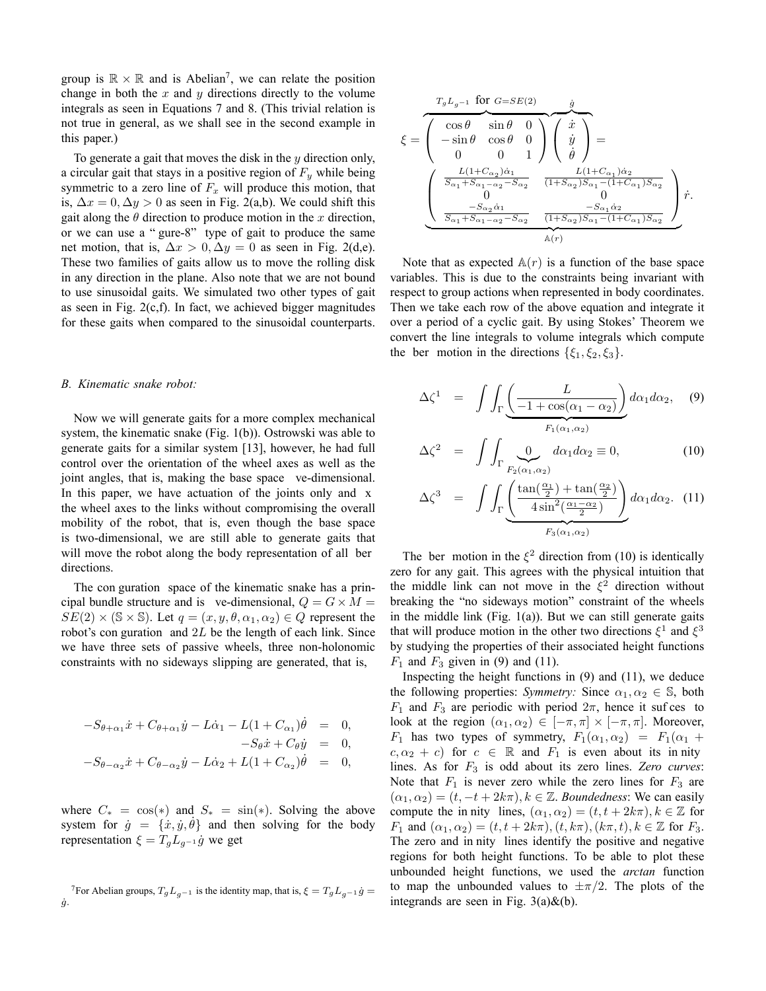group is  $\mathbb{R} \times \mathbb{R}$  and is Abelian<sup>7</sup>, we can relate the position change in both the x and y directions directly to the volume integrals as seen in Equations 7 and 8. (This trivial relation is not true in general, as we shall see in the second example in this paper.)

To generate a gait that moves the disk in the  $y$  direction only, a circular gait that stays in a positive region of  $F<sub>y</sub>$  while being symmetric to a zero line of  $F_x$  will produce this motion, that is,  $\Delta x = 0$ ,  $\Delta y > 0$  as seen in Fig. 2(a,b). We could shift this gait along the  $\theta$  direction to produce motion in the x direction, or we can use a " gure-8" type of gait to produce the same net motion, that is,  $\Delta x > 0$ ,  $\Delta y = 0$  as seen in Fig. 2(d,e). These two families of gaits allow us to move the rolling disk in any direction in the plane. Also note that we are not bound to use sinusoidal gaits. We simulated two other types of gait as seen in Fig.  $2(c,f)$ . In fact, we achieved bigger magnitudes for these gaits when compared to the sinusoidal counterparts.

## *B. Kinematic snake robot:*

Now we will generate gaits for a more complex mechanical system, the kinematic snake (Fig. 1(b)). Ostrowski was able to generate gaits for a similar system [13], however, he had full control over the orientation of the wheel axes as well as the joint angles, that is, making the base space ve-dimensional. In this paper, we have actuation of the joints only and x the wheel axes to the links without compromising the overall mobility of the robot, that is, even though the base space is two-dimensional, we are still able to generate gaits that will move the robot along the body representation of all ber directions.

The con guration space of the kinematic snake has a principal bundle structure and is ve-dimensional,  $Q = G \times M =$  $SE(2) \times (S \times S)$ . Let  $q = (x, y, \theta, \alpha_1, \alpha_2) \in Q$  represent the robot's con guration and  $2L$  be the length of each link. Since we have three sets of passive wheels, three non-holonomic constraints with no sideways slipping are generated, that is,

$$
-S_{\theta+\alpha_1}\dot{x} + C_{\theta+\alpha_1}\dot{y} - L\dot{\alpha}_1 - L(1 + C_{\alpha_1})\dot{\theta} = 0,
$$
  

$$
-S_{\theta}\dot{x} + C_{\theta}\dot{y} = 0,
$$
  

$$
-S_{\theta-\alpha_2}\dot{x} + C_{\theta-\alpha_2}\dot{y} - L\dot{\alpha}_2 + L(1 + C_{\alpha_2})\dot{\theta} = 0,
$$

where  $C_* = \cos(*)$  and  $S_* = \sin(*)$ . Solving the above system for  $\dot{g} = \{\dot{x}, \dot{y}, \dot{\theta}\}\$ and then solving for the body representation  $\xi = T_q L_{q^{-1}} \dot{g}$  we get

$$
\label{eq:xi} \xi=\begin{pmatrix} \frac{T_gL_{g^{-1}}\text{ for }G=SE(2)}{\cos\theta\ \sin\theta\ \ 0\ \end{pmatrix}\begin{pmatrix} \dot{x}\\ \dot{y}\\ \dot{\theta} \end{pmatrix}}=\qquad \qquad \\ \underbrace{\left(\begin{array}{c} \cos\theta \\ -\sin\theta \ \ \cos\theta \ \ 0 \\ 0 \end{array}\right)\begin{pmatrix} \dot{x}\\ \dot{y}\\ \dot{\theta} \end{pmatrix}}_{\begin{array}{c} \tilde{y} \\ \tilde{y}\\ \tilde{z} \end{array}}=\qquad \qquad \\ \underbrace{\left(\begin{array}{cc} \frac{L(1+C_{\alpha_2})\dot{\alpha}_1}{S_{\alpha_1}+S_{\alpha_1-\alpha_2}-S_{\alpha_2}} & \frac{L(1+C_{\alpha_1})\dot{\alpha}_2}{(1+S_{\alpha_2})S_{\alpha_1}-(1+C_{\alpha_1})S_{\alpha_2}} \\ 0 & 0 \\ \frac{-S_{\alpha_2}\dot{\alpha}_1}{S_{\alpha_1}+S_{\alpha_1-\alpha_2}-S_{\alpha_2}} & \frac{-S_{\alpha_1}\dot{\alpha}_2}{(1+S_{\alpha_2})S_{\alpha_1}-(1+C_{\alpha_1})S_{\alpha_2}} \end{array}\right)}_{\mathbb{A}(r)}\dot{r}.
$$

Note that as expected  $A(r)$  is a function of the base space variables. This is due to the constraints being invariant with respect to group actions when represented in body coordinates. Then we take each row of the above equation and integrate it over a period of a cyclic gait. By using Stokes' Theorem we convert the line integrals to volume integrals which compute the ber motion in the directions  $\{\xi_1, \xi_2, \xi_3\}.$ 

$$
\Delta \zeta^1 = \int \int_{\Gamma} \underbrace{\left(\frac{L}{-1 + \cos(\alpha_1 - \alpha_2)}\right)}_{F_1(\alpha_1, \alpha_2)} d\alpha_1 d\alpha_2, \quad (9)
$$

$$
\Delta \zeta^2 = \int \int_{\Gamma} \underbrace{0}_{F_2(\alpha_1, \alpha_2)} d\alpha_1 d\alpha_2 \equiv 0, \tag{10}
$$

$$
\Delta \zeta^3 = \int \int_{\Gamma} \underbrace{\left( \frac{\tan(\frac{\alpha_1}{2}) + \tan(\frac{\alpha_2}{2})}{4 \sin^2(\frac{\alpha_1 - \alpha_2}{2})} \right)}_{F_3(\alpha_1, \alpha_2)} d\alpha_1 d\alpha_2. \tag{11}
$$

The ber motion in the  $\xi^2$  direction from (10) is identically zero for any gait. This agrees with the physical intuition that the middle link can not move in the  $\xi^2$  direction without breaking the "no sideways motion" constraint of the wheels in the middle link (Fig.  $1(a)$ ). But we can still generate gaits that will produce motion in the other two directions  $\xi^1$  and  $\xi^3$ by studying the properties of their associated height functions  $F_1$  and  $F_3$  given in (9) and (11).

Inspecting the height functions in (9) and (11), we deduce the following properties: *Symmetry:* Since  $\alpha_1, \alpha_2 \in \mathbb{S}$ , both  $F_1$  and  $F_3$  are periodic with period  $2\pi$ , hence it suf ces to look at the region  $(\alpha_1, \alpha_2) \in [-\pi, \pi] \times [-\pi, \pi]$ . Moreover,  $F_1$  has two types of symmetry,  $F_1(\alpha_1, \alpha_2) = F_1(\alpha_1 +$  $c, \alpha_2 + c$  for  $c \in \mathbb{R}$  and  $F_1$  is even about its in nity lines. As for F<sup>3</sup> is odd about its zero lines. *Zero curves*: Note that  $F_1$  is never zero while the zero lines for  $F_3$  are  $(\alpha_1, \alpha_2) = (t, -t + 2k\pi), k \in \mathbb{Z}$ . *Boundedness*: We can easily compute the in nity lines,  $(\alpha_1, \alpha_2) = (t, t + 2k\pi), k \in \mathbb{Z}$  for  $F_1$  and  $(\alpha_1, \alpha_2)=(t, t + 2k\pi), (t, k\pi), (k\pi, t), k \in \mathbb{Z}$  for  $F_3$ . The zero and in nity lines identify the positive and negative regions for both height functions. To be able to plot these unbounded height functions, we used the *arctan* function to map the unbounded values to  $\pm \pi/2$ . The plots of the integrands are seen in Fig.  $3(a) \& (b)$ .

<sup>&</sup>lt;sup>7</sup>For Abelian groups,  $T_gL_{g^{-1}}$  is the identity map, that is,  $\xi = T_gL_{g^{-1}}\dot{g}$  $\dot{g}$ .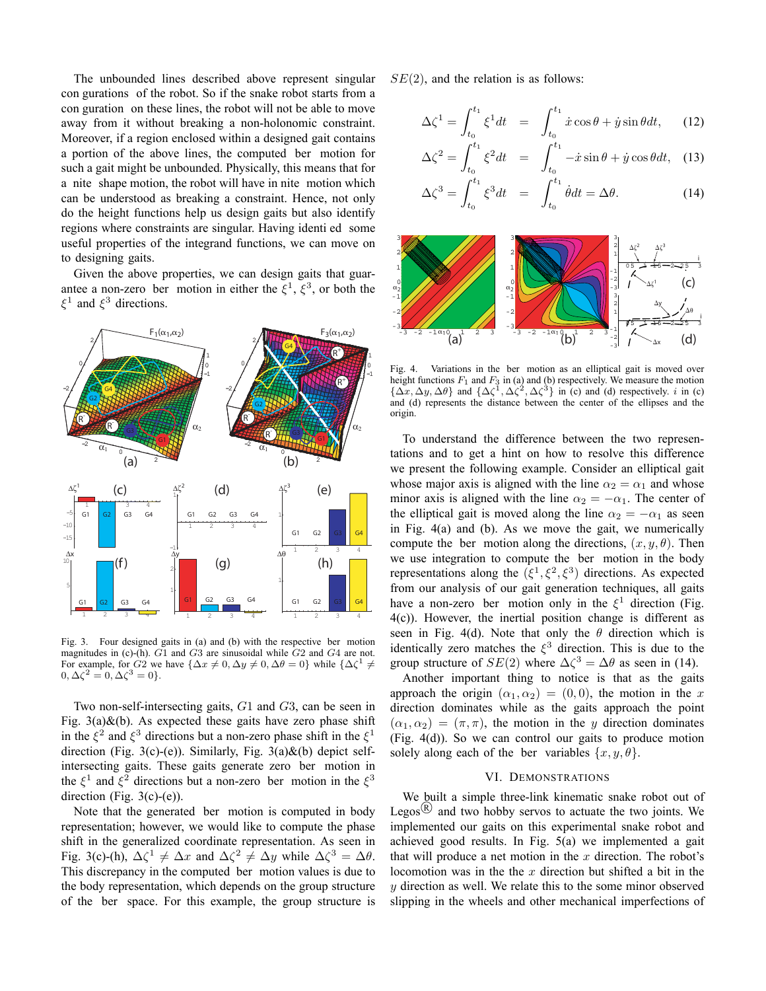The unbounded lines described above represent singular con gurations of the robot. So if the snake robot starts from a con guration on these lines, the robot will not be able to move away from it without breaking a non-holonomic constraint. Moreover, if a region enclosed within a designed gait contains a portion of the above lines, the computed ber motion for such a gait might be unbounded. Physically, this means that for a nite shape motion, the robot will have in nite motion which can be understood as breaking a constraint. Hence, not only do the height functions help us design gaits but also identify regions where constraints are singular. Having identi ed some useful properties of the integrand functions, we can move on to designing gaits.

Given the above properties, we can design gaits that guarantee a non-zero ber motion in either the  $\xi^1$ ,  $\xi^3$ , or both the  $\xi^1$  and  $\xi^3$  directions.



Fig. 3. Four designed gaits in (a) and (b) with the respective ber motion magnitudes in (c)-(h).  $G1$  and  $G3$  are sinusoidal while  $G2$  and  $G4$  are not. For example, for G2 we have  $\{\Delta x \neq 0, \Delta y \neq 0, \Delta \theta = 0\}$  while  $\{\Delta \zeta^1 \neq \zeta^2\}$  $0, \Delta \zeta^2 = 0, \Delta \zeta^3 = 0$ .

Two non-self-intersecting gaits, G1 and G3, can be seen in Fig.  $3(a)$ &(b). As expected these gaits have zero phase shift in the  $\xi^2$  and  $\xi^3$  directions but a non-zero phase shift in the  $\xi^1$ direction (Fig. 3(c)-(e)). Similarly, Fig.  $3(a) \& (b)$  depict selfintersecting gaits. These gaits generate zero ber motion in the  $\xi^1$  and  $\xi^2$  directions but a non-zero ber motion in the  $\xi^3$ direction (Fig.  $3(c)-(e)$ ).

Note that the generated ber motion is computed in body representation; however, we would like to compute the phase shift in the generalized coordinate representation. As seen in Fig. 3(c)-(h),  $\Delta \zeta^1 \neq \Delta x$  and  $\Delta \zeta^2 \neq \Delta y$  while  $\Delta \zeta^3 = \Delta \theta$ . This discrepancy in the computed ber motion values is due to the body representation, which depends on the group structure of the ber space. For this example, the group structure is  $SE(2)$ , and the relation is as follows:

$$
\Delta \zeta^1 = \int_{t_0}^{t_1} \zeta^1 dt = \int_{t_0}^{t_1} \dot{x} \cos \theta + \dot{y} \sin \theta dt, \qquad (12)
$$

$$
\Delta \zeta^2 = \int_{t_0}^{t_1} \xi^2 dt = \int_{t_0}^{t_1} -\dot{x} \sin \theta + \dot{y} \cos \theta dt, \quad (13)
$$

$$
\Delta \zeta^3 = \int_{t_0}^{t_1} \xi^3 dt = \int_{t_0}^{t_1} \dot{\theta} dt = \Delta \theta. \tag{14}
$$



Fig. 4. Variations in the ber motion as an elliptical gait is moved over height functions  $F_1$  and  $F_3$  in (a) and (b) respectively. We measure the motion height functions  $F_1$  and  $F_3$  in (a) and (b) respectively. We measure the motion  $\{\Delta x, \Delta y, \Delta \theta\}$  and  $\{\Delta \zeta^1, \Delta \zeta^2, \Delta \zeta^3\}$  in (c) and (d) respectively. *i* in (c) and (d) represents the distance between the ce and (d) represents the distance between the center of the ellipses and the origin.

To understand the difference between the two representations and to get a hint on how to resolve this difference we present the following example. Consider an elliptical gait whose major axis is aligned with the line  $\alpha_2 = \alpha_1$  and whose minor axis is aligned with the line  $\alpha_2 = -\alpha_1$ . The center of the elliptical gait is moved along the line  $\alpha_2 = -\alpha_1$  as seen in Fig. 4(a) and (b). As we move the gait, we numerically compute the ber motion along the directions,  $(x, y, \theta)$ . Then we use integration to compute the ber motion in the body representations along the  $({\xi}^1, {\xi}^2, {\xi}^3)$  directions. As expected from our analysis of our gait generation techniques, all gaits have a non-zero ber motion only in the  $\xi^1$  direction (Fig. 4(c)). However, the inertial position change is different as seen in Fig. 4(d). Note that only the  $\theta$  direction which is identically zero matches the  $\xi^3$  direction. This is due to the group structure of  $SE(2)$  where  $\Delta \zeta^3 = \Delta \theta$  as seen in (14).

Another important thing to notice is that as the gaits approach the origin  $(\alpha_1, \alpha_2) = (0, 0)$ , the motion in the x direction dominates while as the gaits approach the point  $(\alpha_1, \alpha_2)=(\pi, \pi)$ , the motion in the y direction dominates (Fig. 4(d)). So we can control our gaits to produce motion solely along each of the ber variables  $\{x, y, \theta\}$ .

## VI. DEMONSTRATIONS

We built a simple three-link kinematic snake robot out of Legos<sup> $(R)$ </sup> and two hobby servos to actuate the two joints. We implemented our gaits on this experimental snake robot and achieved good results. In Fig. 5(a) we implemented a gait that will produce a net motion in the  $x$  direction. The robot's locomotion was in the the  $x$  direction but shifted a bit in the  $y$  direction as well. We relate this to the some minor observed slipping in the wheels and other mechanical imperfections of